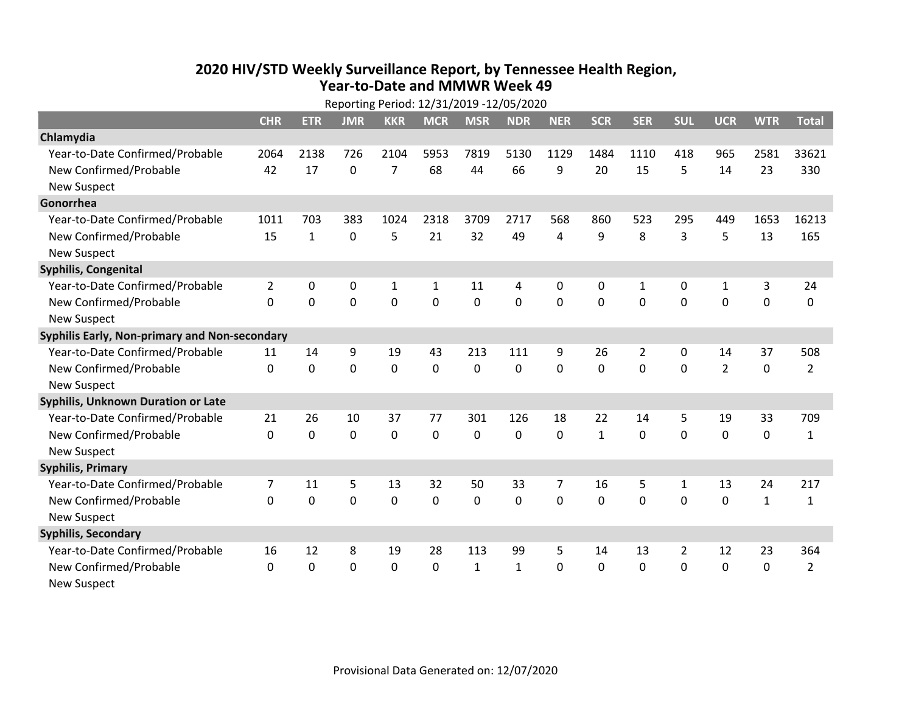## **2020 HIV /STD Weekly Surveillance Report, by Tennessee Health Region, Year‐to‐Date and MMWR Week 49**

|                                               | Reporting Period: 12/31/2019 -12/05/2020 |              |              |                |              |              |              |            |              |             |                |                |              |                |
|-----------------------------------------------|------------------------------------------|--------------|--------------|----------------|--------------|--------------|--------------|------------|--------------|-------------|----------------|----------------|--------------|----------------|
|                                               | <b>CHR</b>                               | <b>ETR</b>   | <b>JMR</b>   | <b>KKR</b>     | <b>MCR</b>   | <b>MSR</b>   | <b>NDR</b>   | <b>NER</b> | <b>SCR</b>   | <b>SER</b>  | <b>SUL</b>     | <b>UCR</b>     | <b>WTR</b>   | <b>Total</b>   |
| Chlamydia                                     |                                          |              |              |                |              |              |              |            |              |             |                |                |              |                |
| Year-to-Date Confirmed/Probable               | 2064                                     | 2138         | 726          | 2104           | 5953         | 7819         | 5130         | 1129       | 1484         | 1110        | 418            | 965            | 2581         | 33621          |
| New Confirmed/Probable                        | 42                                       | 17           | 0            | $\overline{7}$ | 68           | 44           | 66           | 9          | 20           | 15          | 5              | 14             | 23           | 330            |
| <b>New Suspect</b>                            |                                          |              |              |                |              |              |              |            |              |             |                |                |              |                |
| Gonorrhea                                     |                                          |              |              |                |              |              |              |            |              |             |                |                |              |                |
| Year-to-Date Confirmed/Probable               | 1011                                     | 703          | 383          | 1024           | 2318         | 3709         | 2717         | 568        | 860          | 523         | 295            | 449            | 1653         | 16213          |
| New Confirmed/Probable                        | 15                                       | $\mathbf{1}$ | $\mathbf{0}$ | 5              | 21           | 32           | 49           | 4          | 9            | 8           | 3              | 5              | 13           | 165            |
| <b>New Suspect</b>                            |                                          |              |              |                |              |              |              |            |              |             |                |                |              |                |
| <b>Syphilis, Congenital</b>                   |                                          |              |              |                |              |              |              |            |              |             |                |                |              |                |
| Year-to-Date Confirmed/Probable               | $\overline{2}$                           | 0            | 0            | $\mathbf{1}$   | $\mathbf{1}$ | 11           | 4            | 0          | 0            | 1           | 0              | $\mathbf{1}$   | 3            | 24             |
| New Confirmed/Probable                        | 0                                        | 0            | 0            | 0              | $\mathbf{0}$ | 0            | 0            | 0          | $\mathbf{0}$ | $\Omega$    | 0              | 0              | $\mathbf 0$  | 0              |
| <b>New Suspect</b>                            |                                          |              |              |                |              |              |              |            |              |             |                |                |              |                |
| Syphilis Early, Non-primary and Non-secondary |                                          |              |              |                |              |              |              |            |              |             |                |                |              |                |
| Year-to-Date Confirmed/Probable               | 11                                       | 14           | 9            | 19             | 43           | 213          | 111          | 9          | 26           | 2           | 0              | 14             | 37           | 508            |
| New Confirmed/Probable                        | 0                                        | $\mathbf 0$  | $\mathbf 0$  | 0              | 0            | 0            | 0            | 0          | 0            | 0           | $\mathbf 0$    | $\overline{2}$ | $\mathbf 0$  | $\overline{2}$ |
| <b>New Suspect</b>                            |                                          |              |              |                |              |              |              |            |              |             |                |                |              |                |
| Syphilis, Unknown Duration or Late            |                                          |              |              |                |              |              |              |            |              |             |                |                |              |                |
| Year-to-Date Confirmed/Probable               | 21                                       | 26           | 10           | 37             | 77           | 301          | 126          | 18         | 22           | 14          | 5              | 19             | 33           | 709            |
| New Confirmed/Probable                        | 0                                        | $\mathbf 0$  | 0            | 0              | 0            | 0            | 0            | 0          | $\mathbf{1}$ | $\mathbf 0$ | $\mathbf 0$    | 0              | $\pmb{0}$    | $\mathbf{1}$   |
| <b>New Suspect</b>                            |                                          |              |              |                |              |              |              |            |              |             |                |                |              |                |
| <b>Syphilis, Primary</b>                      |                                          |              |              |                |              |              |              |            |              |             |                |                |              |                |
| Year-to-Date Confirmed/Probable               | $\overline{7}$                           | 11           | 5            | 13             | 32           | 50           | 33           | 7          | 16           | 5           | 1              | 13             | 24           | 217            |
| New Confirmed/Probable                        | $\mathbf 0$                              | $\mathbf 0$  | $\mathbf 0$  | 0              | 0            | 0            | 0            | 0          | 0            | 0           | $\mathbf 0$    | 0              | $\mathbf{1}$ | $\mathbf{1}$   |
| <b>New Suspect</b>                            |                                          |              |              |                |              |              |              |            |              |             |                |                |              |                |
| <b>Syphilis, Secondary</b>                    |                                          |              |              |                |              |              |              |            |              |             |                |                |              |                |
| Year-to-Date Confirmed/Probable               | 16                                       | 12           | 8            | 19             | 28           | 113          | 99           | 5          | 14           | 13          | $\overline{2}$ | 12             | 23           | 364            |
| New Confirmed/Probable                        | $\Omega$                                 | $\Omega$     | $\Omega$     | 0              | $\Omega$     | $\mathbf{1}$ | $\mathbf{1}$ | $\Omega$   | $\mathbf{0}$ | 0           | $\mathbf 0$    | 0              | $\mathbf 0$  | $\overline{2}$ |
| <b>New Suspect</b>                            |                                          |              |              |                |              |              |              |            |              |             |                |                |              |                |